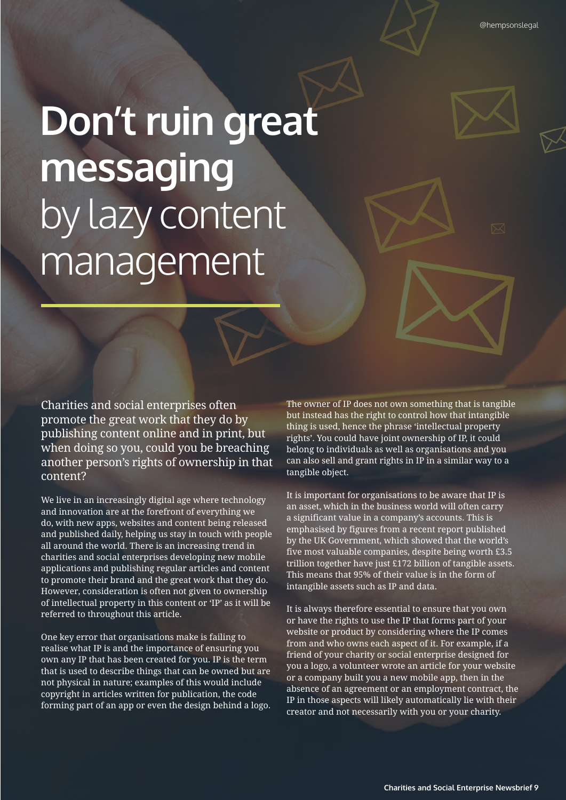## **Don't ruin great messaging** by lazy content management

Charities and social enterprises often promote the great work that they do by publishing content online and in print, but when doing so you, could you be breaching another person's rights of ownership in that content?

We live in an increasingly digital age where technology and innovation are at the forefront of everything we do, with new apps, websites and content being released and published daily, helping us stay in touch with people all around the world. There is an increasing trend in charities and social enterprises developing new mobile applications and publishing regular articles and content to promote their brand and the great work that they do. However, consideration is often not given to ownership of intellectual property in this content or 'IP' as it will be referred to throughout this article.

One key error that organisations make is failing to realise what IP is and the importance of ensuring you own any IP that has been created for you. IP is the term that is used to describe things that can be owned but are not physical in nature; examples of this would include copyright in articles written for publication, the code forming part of an app or even the design behind a logo. The owner of IP does not own something that is tangible but instead has the right to control how that intangible thing is used, hence the phrase 'intellectual property rights'. You could have joint ownership of IP, it could belong to individuals as well as organisations and you can also sell and grant rights in IP in a similar way to a tangible object.

It is important for organisations to be aware that IP is an asset, which in the business world will often carry a significant value in a company's accounts. This is emphasised by figures from a recent report published by the UK Government, which showed that the world's five most valuable companies, despite being worth £3.5 trillion together have just £172 billion of tangible assets. This means that 95% of their value is in the form of intangible assets such as IP and data.

It is always therefore essential to ensure that you own or have the rights to use the IP that forms part of your website or product by considering where the IP comes from and who owns each aspect of it. For example, if a friend of your charity or social enterprise designed for you a logo, a volunteer wrote an article for your website or a company built you a new mobile app, then in the absence of an agreement or an employment contract, the IP in those aspects will likely automatically lie with their creator and not necessarily with you or your charity.